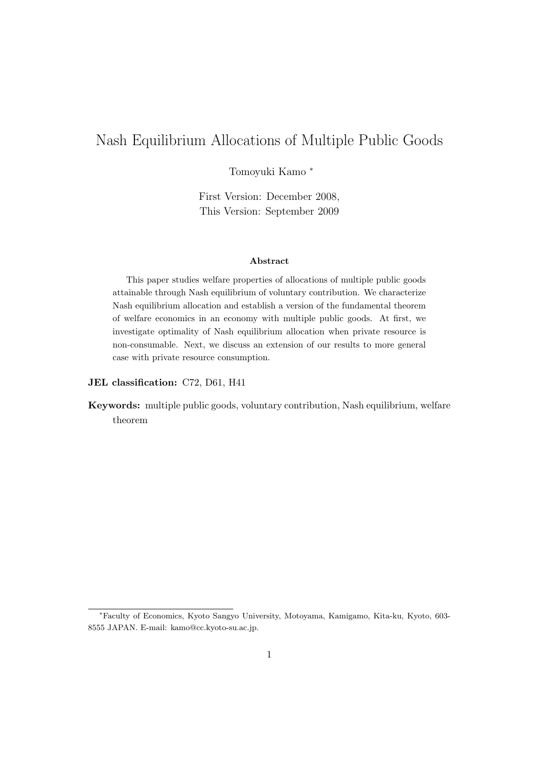# Nash Equilibrium Allocations of Multiple Public Goods

Tomoyuki Kamo *<sup>∗</sup>*

First Version: December 2008, This Version: September 2009

#### **Abstract**

This paper studies welfare properties of allocations of multiple public goods attainable through Nash equilibrium of voluntary contribution. We characterize Nash equilibrium allocation and establish a version of the fundamental theorem of welfare economics in an economy with multiple public goods. At first, we investigate optimality of Nash equilibrium allocation when private resource is non-consumable. Next, we discuss an extension of our results to more general case with private resource consumption.

#### **JEL classification:** C72, D61, H41

**Keywords:** multiple public goods, voluntary contribution, Nash equilibrium, welfare theorem

*<sup>∗</sup>*Faculty of Economics, Kyoto Sangyo University, Motoyama, Kamigamo, Kita-ku, Kyoto, 603- 8555 JAPAN. E-mail: kamo@cc.kyoto-su.ac.jp.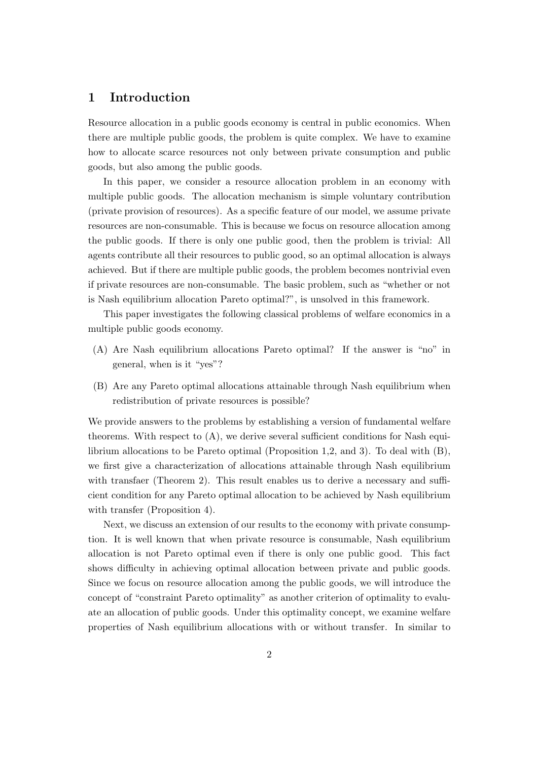# **1 Introduction**

Resource allocation in a public goods economy is central in public economics. When there are multiple public goods, the problem is quite complex. We have to examine how to allocate scarce resources not only between private consumption and public goods, but also among the public goods.

In this paper, we consider a resource allocation problem in an economy with multiple public goods. The allocation mechanism is simple voluntary contribution (private provision of resources). As a specific feature of our model, we assume private resources are non-consumable. This is because we focus on resource allocation among the public goods. If there is only one public good, then the problem is trivial: All agents contribute all their resources to public good, so an optimal allocation is always achieved. But if there are multiple public goods, the problem becomes nontrivial even if private resources are non-consumable. The basic problem, such as "whether or not is Nash equilibrium allocation Pareto optimal?", is unsolved in this framework.

This paper investigates the following classical problems of welfare economics in a multiple public goods economy.

- (A) Are Nash equilibrium allocations Pareto optimal? If the answer is "no" in general, when is it "yes"?
- (B) Are any Pareto optimal allocations attainable through Nash equilibrium when redistribution of private resources is possible?

We provide answers to the problems by establishing a version of fundamental welfare theorems. With respect to (A), we derive several sufficient conditions for Nash equilibrium allocations to be Pareto optimal (Proposition 1,2, and 3). To deal with (B), we first give a characterization of allocations attainable through Nash equilibrium with transfaer (Theorem 2). This result enables us to derive a necessary and sufficient condition for any Pareto optimal allocation to be achieved by Nash equilibrium with transfer (Proposition 4).

Next, we discuss an extension of our results to the economy with private consumption. It is well known that when private resource is consumable, Nash equilibrium allocation is not Pareto optimal even if there is only one public good. This fact shows difficulty in achieving optimal allocation between private and public goods. Since we focus on resource allocation among the public goods, we will introduce the concept of "constraint Pareto optimality" as another criterion of optimality to evaluate an allocation of public goods. Under this optimality concept, we examine welfare properties of Nash equilibrium allocations with or without transfer. In similar to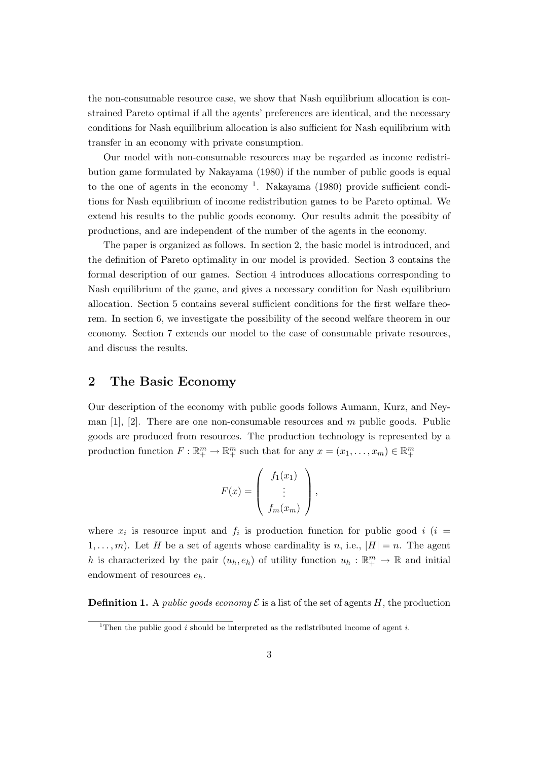the non-consumable resource case, we show that Nash equilibrium allocation is constrained Pareto optimal if all the agents' preferences are identical, and the necessary conditions for Nash equilibrium allocation is also sufficient for Nash equilibrium with transfer in an economy with private consumption.

Our model with non-consumable resources may be regarded as income redistribution game formulated by Nakayama (1980) if the number of public goods is equal to the one of agents in the economy  $<sup>1</sup>$ . Nakayama (1980) provide sufficient condi-</sup> tions for Nash equilibrium of income redistribution games to be Pareto optimal. We extend his results to the public goods economy. Our results admit the possibity of productions, and are independent of the number of the agents in the economy.

The paper is organized as follows. In section 2, the basic model is introduced, and the definition of Pareto optimality in our model is provided. Section 3 contains the formal description of our games. Section 4 introduces allocations corresponding to Nash equilibrium of the game, and gives a necessary condition for Nash equilibrium allocation. Section 5 contains several sufficient conditions for the first welfare theorem. In section 6, we investigate the possibility of the second welfare theorem in our economy. Section 7 extends our model to the case of consumable private resources, and discuss the results.

#### **2 The Basic Economy**

Our description of the economy with public goods follows Aumann, Kurz, and Neyman [1], [2]. There are one non-consumable resources and *m* public goods. Public goods are produced from resources. The production technology is represented by a production function  $F: \mathbb{R}^m_+ \to \mathbb{R}^m_+$  such that for any  $x = (x_1, \ldots, x_m) \in \mathbb{R}^m_+$ 

$$
F(x) = \begin{pmatrix} f_1(x_1) \\ \vdots \\ f_m(x_m) \end{pmatrix},
$$

where  $x_i$  is resource input and  $f_i$  is production function for public good  $i$  ( $i =$ 1,...,*m*). Let *H* be a set of agents whose cardinality is *n*, i.e.,  $|H| = n$ . The agent *h* is characterized by the pair  $(u_h, e_h)$  of utility function  $u_h : \mathbb{R}^m_+ \to \mathbb{R}$  and initial endowment of resources *eh*.

**Definition 1.** A *public goods economy*  $\mathcal{E}$  is a list of the set of agents *H*, the production

<sup>&</sup>lt;sup>1</sup>Then the public good *i* should be interpreted as the redistributed income of agent *i*.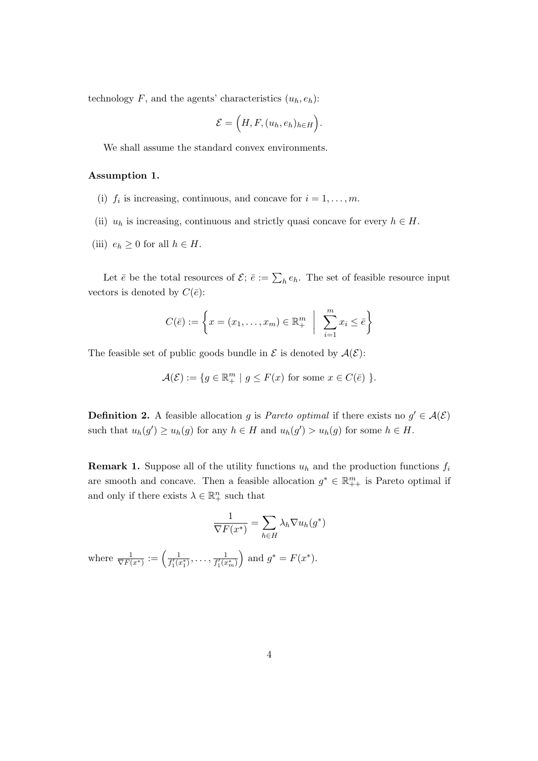technology  $F$ , and the agents' characteristics  $(u_h, e_h)$ :

$$
\mathcal{E} = (H, F, (u_h, e_h)_{h \in H}).
$$

We shall assume the standard convex environments.

#### **Assumption 1.**

- (i)  $f_i$  is increasing, continuous, and concave for  $i = 1, \ldots, m$ .
- (ii)  $u_h$  is increasing, continuous and strictly quasi concave for every  $h \in H$ .
- (iii)  $e_h \geq 0$  for all  $h \in H$ .

Let  $\bar{e}$  be the total resources of  $\mathcal{E}$ ;  $\bar{e} := \sum_{h} e_h$ . The set of feasible resource input vectors is denoted by  $C(\bar{e})$ :

$$
C(\bar{e}) := \left\{ x = (x_1, \dots, x_m) \in \mathbb{R}^m_+ \middle| \sum_{i=1}^m x_i \leq \bar{e} \right\}
$$

The feasible set of public goods bundle in  $\mathcal E$  is denoted by  $\mathcal A(\mathcal E)$ :

$$
\mathcal{A}(\mathcal{E}) := \{ g \in \mathbb{R}^m_+ \mid g \le F(x) \text{ for some } x \in C(\bar{e}) \}.
$$

**Definition 2.** A feasible allocation *g* is *Pareto optimal* if there exists no  $g' \in \mathcal{A}(\mathcal{E})$ such that  $u_h(g') \ge u_h(g)$  for any  $h \in H$  and  $u_h(g') > u_h(g)$  for some  $h \in H$ .

**Remark 1.** Suppose all of the utility functions  $u_h$  and the production functions  $f_i$ are smooth and concave. Then a feasible allocation  $g^* \in \mathbb{R}_{++}^m$  is Pareto optimal if and only if there exists  $\lambda \in \mathbb{R}^n_+$  such that

$$
\frac{1}{\nabla F(x^*)} = \sum_{h \in H} \lambda_h \nabla u_h(g^*)
$$

where  $\frac{1}{\nabla F(x^*)} := \left(\frac{1}{f'_1(x)}\right)$  $\frac{1}{f_1'(x_1^*)}, \ldots, \frac{1}{f_1'(x_n^*)}$  $f'_{1}(x_{m}^{*})$  $\int$  and  $g^* = F(x^*)$ .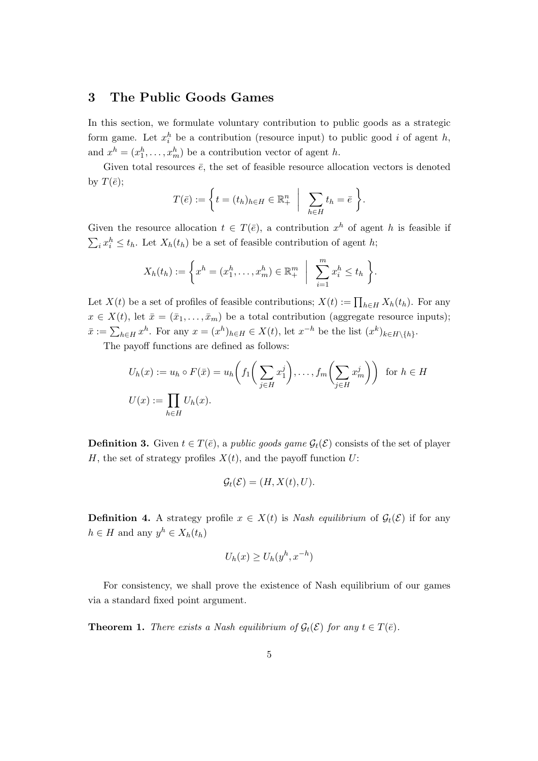### **3 The Public Goods Games**

In this section, we formulate voluntary contribution to public goods as a strategic form game. Let  $x_i^h$  be a contribution (resource input) to public good *i* of agent *h*, and  $x^h = (x_1^h, \ldots, x_m^h)$  be a contribution vector of agent *h*.

Given total resources  $\bar{e}$ , the set of feasible resource allocation vectors is denoted by  $T(\bar{e})$ ;

$$
T(\bar{e}) := \left\{ t = (t_h)_{h \in H} \in \mathbb{R}^n_+ \middle| \sum_{h \in H} t_h = \bar{e} \right\}.
$$

Given the resource allocation  $t \in T(\bar{e})$ , a contribution  $x^h$  of agent *h* is feasible if  $\sum_i x_i^h \leq t_h$ . Let  $X_h(t_h)$  be a set of feasible contribution of agent *h*;

$$
X_h(t_h) := \left\{ x^h = (x_1^h, \dots, x_m^h) \in \mathbb{R}^m_+ \middle| \sum_{i=1}^m x_i^h \le t_h \right\}.
$$

Let *X*(*t*) be a set of profiles of feasible contributions;  $X(t) := \prod_{h \in H} X_h(t_h)$ . For any  $x \in X(t)$ , let  $\bar{x} = (\bar{x}_1, \ldots, \bar{x}_m)$  be a total contribution (aggregate resource inputs);  $\bar{x} := \sum_{h \in H} x^h$ . For any  $x = (x^h)_{h \in H} \in X(t)$ , let  $x^{-h}$  be the list  $(x^k)_{k \in H \setminus \{h\}}$ .

The payoff functions are defined as follows:

$$
U_h(x) := u_h \circ F(\bar{x}) = u_h \left( f_1 \left( \sum_{j \in H} x_1^j \right), \dots, f_m \left( \sum_{j \in H} x_m^j \right) \right) \text{ for } h \in H
$$
  

$$
U(x) := \prod_{h \in H} U_h(x).
$$

**Definition 3.** Given  $t \in T(\bar{e})$ , a *public goods game*  $\mathcal{G}_t(\mathcal{E})$  consists of the set of player *H*, the set of strategy profiles  $X(t)$ , and the payoff function *U*:

$$
\mathcal{G}_t(\mathcal{E}) = (H, X(t), U).
$$

**Definition 4.** A strategy profile  $x \in X(t)$  is *Nash equilibrium* of  $\mathcal{G}_t(\mathcal{E})$  if for any  $h \in H$  and any  $y^h \in X_h(t_h)$ 

$$
U_h(x) \ge U_h(y^h, x^{-h})
$$

For consistency, we shall prove the existence of Nash equilibrium of our games via a standard fixed point argument.

**Theorem 1.** *There exists a Nash equilibrium of*  $\mathcal{G}_t(\mathcal{E})$  *for any*  $t \in T(\bar{e})$ *.*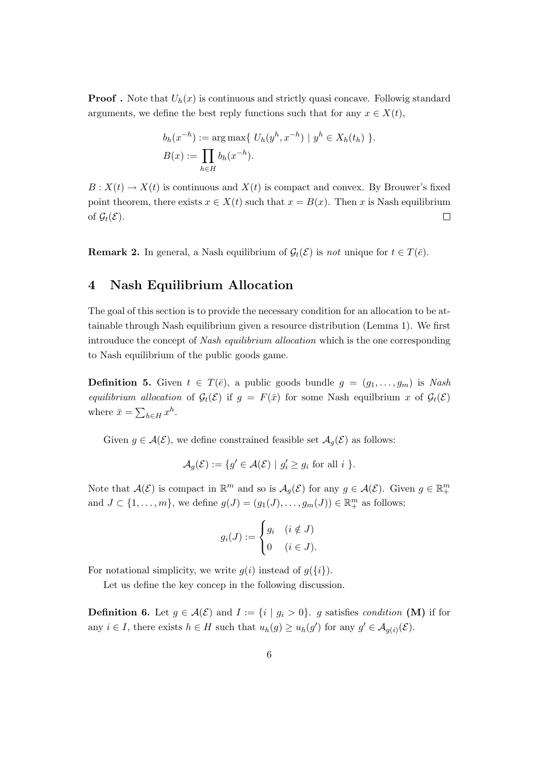**Proof**. Note that  $U_h(x)$  is continuous and strictly quasi concave. Followig standard arguments, we define the best reply functions such that for any  $x \in X(t)$ ,

$$
b_h(x^{-h}) := \arg \max \{ U_h(y^h, x^{-h}) \mid y^h \in X_h(t_h) \}.
$$
  

$$
B(x) := \prod_{h \in H} b_h(x^{-h}).
$$

 $B: X(t) \to X(t)$  is continuous and  $X(t)$  is compact and convex. By Brouwer's fixed point theorem, there exists  $x \in X(t)$  such that  $x = B(x)$ . Then *x* is Nash equilibrium of  $\mathcal{G}_t(\mathcal{E})$ .  $\Box$ 

**Remark 2.** In general, a Nash equilibrium of  $\mathcal{G}_t(\mathcal{E})$  is *not* unique for  $t \in T(\bar{e})$ .

### **4 Nash Equilibrium Allocation**

The goal of this section is to provide the necessary condition for an allocation to be attainable through Nash equilibrium given a resource distribution (Lemma 1). We first introuduce the concept of *Nash equilibrium allocation* which is the one corresponding to Nash equilibrium of the public goods game.

**Definition 5.** Given  $t \in T(\bar{e})$ , a public goods bundle  $g = (g_1, \ldots, g_m)$  is *Nash equilibrium allocation* of  $\mathcal{G}_t(\mathcal{E})$  if  $g = F(\bar{x})$  for some Nash equilbrium *x* of  $\mathcal{G}_t(\mathcal{E})$ where  $\bar{x} = \sum_{h \in H} x^h$ .

Given  $g \in \mathcal{A}(\mathcal{E})$ , we define constrained feasible set  $\mathcal{A}_g(\mathcal{E})$  as follows:

$$
\mathcal{A}_g(\mathcal{E}) := \{ g' \in \mathcal{A}(\mathcal{E}) \mid g'_i \ge g_i \text{ for all } i \}.
$$

Note that  $\mathcal{A}(\mathcal{E})$  is compact in  $\mathbb{R}^m$  and so is  $\mathcal{A}_g(\mathcal{E})$  for any  $g \in \mathcal{A}(\mathcal{E})$ . Given  $g \in \mathbb{R}^m_+$ and  $J \subset \{1, \ldots, m\}$ , we define  $g(J) = (g_1(J), \ldots, g_m(J)) \in \mathbb{R}_+^m$  as follows;

$$
g_i(J) := \begin{cases} g_i & (i \notin J) \\ 0 & (i \in J). \end{cases}
$$

For notational simplicity, we write  $g(i)$  instead of  $g({i})$ .

Let us define the key concep in the following discussion.

**Definition 6.** Let  $g \in \mathcal{A}(\mathcal{E})$  and  $I := \{i \mid g_i > 0\}$ . *g* satisfies *condition* (**M**) if for any  $i \in I$ , there exists  $h \in H$  such that  $u_h(g) \geq u_h(g')$  for any  $g' \in \mathcal{A}_{g(i)}(\mathcal{E})$ .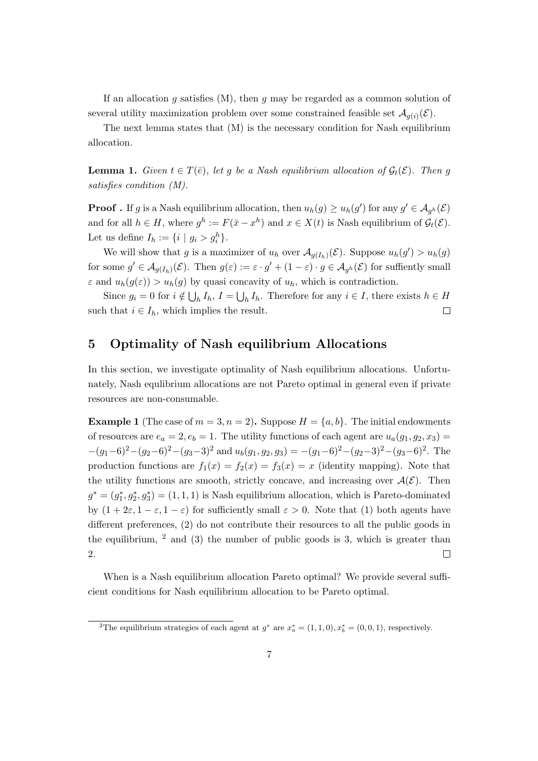If an allocation *g* satisfies (M), then *g* may be regarded as a common solution of several utility maximization problem over some constrained feasible set  $\mathcal{A}_{g(i)}(\mathcal{E})$ .

The next lemma states that (M) is the necessary condition for Nash equilibrium allocation.

**Lemma 1.** *Given*  $t \in T(\bar{e})$ *, let g be a Nash equilibrium allocation of*  $\mathcal{G}_t(\mathcal{E})$ *. Then g satisfies condition (M).*

**Proof** . If *g* is a Nash equilibrium allocation, then  $u_h(g) \geq u_h(g')$  for any  $g' \in A_{g^h}(\mathcal{E})$ and for all  $h \in H$ , where  $g^h := F(\bar{x} - x^h)$  and  $x \in X(t)$  is Nash equilibrium of  $\mathcal{G}_t(\mathcal{E})$ . Let us define  $I_h := \{ i \mid g_i > g_i^h \}.$ 

We will show that *g* is a maximizer of  $u_h$  over  $\mathcal{A}_{g(I_h)}(\mathcal{E})$ . Suppose  $u_h(g') > u_h(g)$ for some  $g' \in \mathcal{A}_{g(I_h)}(\mathcal{E})$ . Then  $g(\varepsilon) := \varepsilon \cdot g' + (1 - \varepsilon) \cdot g \in \mathcal{A}_{g^h}(\mathcal{E})$  for suffiently small *ε* and  $u_h(g(\varepsilon)) > u_h(g)$  by quasi concavity of  $u_h$ , which is contradiction.

Since  $g_i = 0$  for  $i \notin \bigcup_h I_h$ ,  $I = \bigcup_h I_h$ . Therefore for any  $i \in I$ , there exists  $h \in H$ such that  $i \in I_h$ , which implies the result.  $\Box$ 

### **5 Optimality of Nash equilibrium Allocations**

In this section, we investigate optimality of Nash equilibrium allocations. Unfortunately, Nash equlibrium allocations are not Pareto optimal in general even if private resources are non-consumable.

**Example 1** (The case of  $m = 3, n = 2$ ). Suppose  $H = \{a, b\}$ . The initial endowments of resources are  $e_a = 2, e_b = 1$ . The utility functions of each agent are  $u_a(g_1, g_2, x_3)$  $-(g_1-6)^2-(g_2-6)^2-(g_3-3)^2$  and  $u_b(g_1,g_2,g_3) = -(g_1-6)^2-(g_2-3)^2-(g_3-6)^2$ . The production functions are  $f_1(x) = f_2(x) = f_3(x) = x$  (identity mapping). Note that the utility functions are smooth, strictly concave, and increasing over  $A(\mathcal{E})$ . Then  $g^* = (g_1^*, g_2^*, g_3^*) = (1, 1, 1)$  is Nash equilibrium allocation, which is Pareto-dominated by  $(1 + 2\varepsilon, 1 - \varepsilon, 1 - \varepsilon)$  for sufficiently small  $\varepsilon > 0$ . Note that (1) both agents have different preferences, (2) do not contribute their resources to all the public goods in the equilibrium,  $\frac{2}{3}$  and (3) the number of public goods is 3, which is greater than 2.  $\Box$ 

When is a Nash equilibrium allocation Pareto optimal? We provide several sufficient conditions for Nash equilibrium allocation to be Pareto optimal.

<sup>&</sup>lt;sup>2</sup>The equilibrium strategies of each agent at  $g^*$  are  $x_a^* = (1, 1, 0), x_b^* = (0, 0, 1)$ , respectively.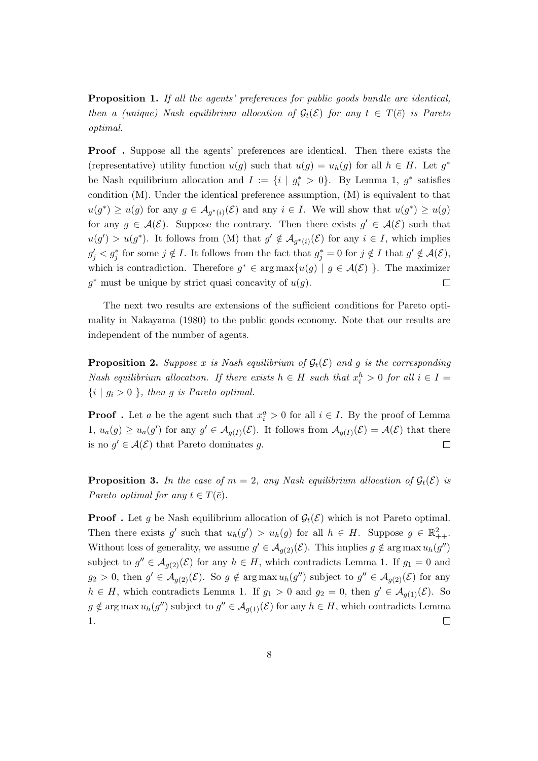**Proposition 1.** *If all the agents' preferences for public goods bundle are identical, then a (unique) Nash equilibrium allocation of*  $\mathcal{G}_t(\mathcal{E})$  *for any*  $t \in T(\bar{e})$  *is Pareto optimal.*

**Proof**. Suppose all the agents' preferences are identical. Then there exists the (representative) utility function  $u(g)$  such that  $u(g) = u_h(g)$  for all  $h \in H$ . Let  $g^*$ be Nash equilibrium allocation and  $I := \{i \mid g_i^* > 0\}$ . By Lemma 1,  $g^*$  satisfies condition (M). Under the identical preference assumption, (M) is equivalent to that  $u(g^*) \geq u(g)$  for any  $g \in \mathcal{A}_{g^*(i)}(\mathcal{E})$  and any  $i \in I$ . We will show that  $u(g^*) \geq u(g)$ for any  $g \in \mathcal{A}(\mathcal{E})$ . Suppose the contrary. Then there exists  $g' \in \mathcal{A}(\mathcal{E})$  such that  $u(g') > u(g^*)$ . It follows from (M) that  $g' \notin \mathcal{A}_{g^*(i)}(\mathcal{E})$  for any  $i \in I$ , which implies  $g'_j < g^*_j$  for some  $j \notin I$ . It follows from the fact that  $g^*_j = 0$  for  $j \notin I$  that  $g' \notin \mathcal{A}(\mathcal{E}),$ which is contradiction. Therefore  $g^* \in \arg \max \{u(g) \mid g \in \mathcal{A}(\mathcal{E})\}\.$  The maximizer  $g^*$  must be unique by strict quasi concavity of  $u(g)$ .  $\Box$ 

The next two results are extensions of the sufficient conditions for Pareto optimality in Nakayama (1980) to the public goods economy. Note that our results are independent of the number of agents.

**Proposition 2.** Suppose *x* is Nash equilibrium of  $\mathcal{G}_t(\mathcal{E})$  and *g* is the corresponding *Nash equilibrium allocation. If there exists*  $h \in H$  *such that*  $x_i^h > 0$  *for all*  $i \in I =$  $\{i \mid g_i > 0\}$ , then *g is Pareto optimal.* 

**Proof** . Let *a* be the agent such that  $x_i^a > 0$  for all  $i \in I$ . By the proof of Lemma  $1, u_a(g) \geq u_a(g')$  for any  $g' \in \mathcal{A}_{g(I)}(\mathcal{E})$ . It follows from  $\mathcal{A}_{g(I)}(\mathcal{E}) = \mathcal{A}(\mathcal{E})$  that there is no  $g' \in \mathcal{A}(\mathcal{E})$  that Pareto dominates g.  $\Box$ 

**Proposition 3.** In the case of  $m = 2$ , any Nash equilibrium allocation of  $\mathcal{G}_t(\mathcal{E})$  is *Pareto optimal for any*  $t \in T(\bar{e})$ *.* 

**Proof**. Let g be Nash equilibrium allocation of  $\mathcal{G}_t(\mathcal{E})$  which is not Pareto optimal. Then there exists *g*' such that  $u_h(g') > u_h(g)$  for all  $h \in H$ . Suppose  $g \in \mathbb{R}^2_{++}$ . Without loss of generality, we assume  $g' \in A_{g(2)}(\mathcal{E})$ . This implies  $g \notin \arg \max u_h(g'')$ subject to  $g'' \in A_{g(2)}(\mathcal{E})$  for any  $h \in H$ , which contradicts Lemma 1. If  $g_1 = 0$  and  $g_2 > 0$ , then  $g' \in A_{g(2)}(\mathcal{E})$ . So  $g \notin \arg \max u_h(g'')$  subject to  $g'' \in A_{g(2)}(\mathcal{E})$  for any  $h \in H$ , which contradicts Lemma 1. If  $g_1 > 0$  and  $g_2 = 0$ , then  $g' \in \mathcal{A}_{g(1)}(\mathcal{E})$ . So  $g \notin \arg \max u_h(g'')$  subject to  $g'' \in \mathcal{A}_{g(1)}(\mathcal{E})$  for any  $h \in H$ , which contradicts Lemma 1.  $\Box$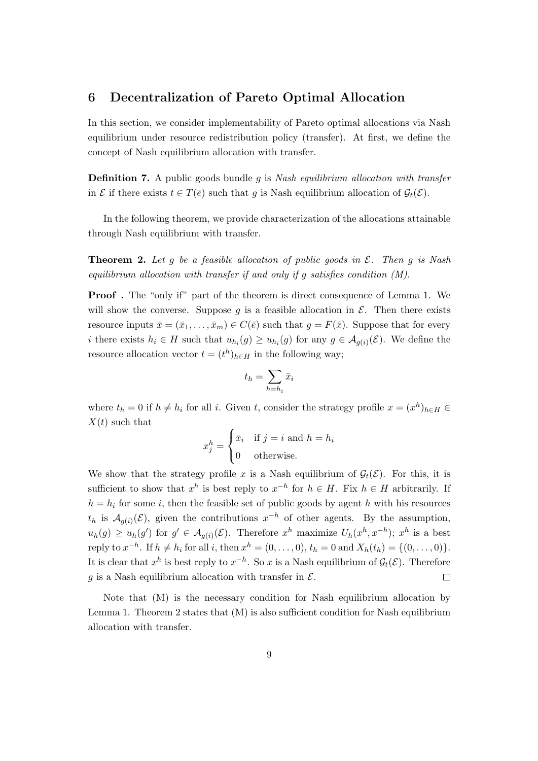#### **6 Decentralization of Pareto Optimal Allocation**

In this section, we consider implementability of Pareto optimal allocations via Nash equilibrium under resource redistribution policy (transfer). At first, we define the concept of Nash equilibrium allocation with transfer.

**Definition 7.** A public goods bundle *g* is *Nash equilibrium allocation with transfer* in *E* if there exists  $t \in T(\bar{e})$  such that *q* is Nash equilibrium allocation of  $\mathcal{G}_t(\mathcal{E})$ .

In the following theorem, we provide characterization of the allocations attainable through Nash equilibrium with transfer.

**Theorem 2.** *Let g be a feasible allocation of public goods in E. Then g is Nash equilibrium allocation with transfer if and only if g satisfies condition (M).*

**Proof**. The "only if" part of the theorem is direct consequence of Lemma 1. We will show the converse. Suppose  $g$  is a feasible allocation in  $\mathcal{E}$ . Then there exists resource inputs  $\bar{x} = (\bar{x}_1, \ldots, \bar{x}_m) \in C(\bar{e})$  such that  $g = F(\bar{x})$ . Suppose that for every *i* there exists  $h_i \in H$  such that  $u_{h_i}(g) \geq u_{h_i}(g)$  for any  $g \in \mathcal{A}_{g(i)}(\mathcal{E})$ . We define the resource allocation vector  $t = (t^h)_{h \in H}$  in the following way;

$$
t_h = \sum_{h=h_i} \bar{x}_i
$$

where  $t_h = 0$  if  $h \neq h_i$  for all *i*. Given *t*, consider the strategy profile  $x = (x^h)_{h \in H} \in$ *X*(*t*) such that

$$
x_j^h = \begin{cases} \bar{x}_i & \text{if } j = i \text{ and } h = h_i \\ 0 & \text{otherwise.} \end{cases}
$$

We show that the strategy profile x is a Nash equilibrium of  $\mathcal{G}_t(\mathcal{E})$ . For this, it is sufficient to show that  $x^h$  is best reply to  $x^{-h}$  for  $h \in H$ . Fix  $h \in H$  arbitrarily. If  $h = h_i$  for some *i*, then the feasible set of public goods by agent *h* with his resources  $t_h$  is  $A_{g(i)}(\mathcal{E})$ , given the contributions  $x^{-h}$  of other agents. By the assumption,  $u_h(g) \geq u_h(g')$  for  $g' \in \mathcal{A}_{g(i)}(\mathcal{E})$ . Therefore  $x^h$  maximize  $U_h(x^h, x^{-h})$ ;  $x^h$  is a best reply to  $x^{-h}$ . If  $h \neq h_i$  for all i, then  $x^h = (0, ..., 0), t_h = 0$  and  $X_h(t_h) = \{(0, ..., 0)\}.$ It is clear that  $x^h$  is best reply to  $x^{-h}$ . So  $x$  is a Nash equilibrium of  $\mathcal{G}_t(\mathcal{E})$ . Therefore  $g$  is a Nash equilibrium allocation with transfer in  $\mathcal{E}$ .  $\Box$ 

Note that (M) is the necessary condition for Nash equilibrium allocation by Lemma 1. Theorem 2 states that (M) is also sufficient condition for Nash equilibrium allocation with transfer.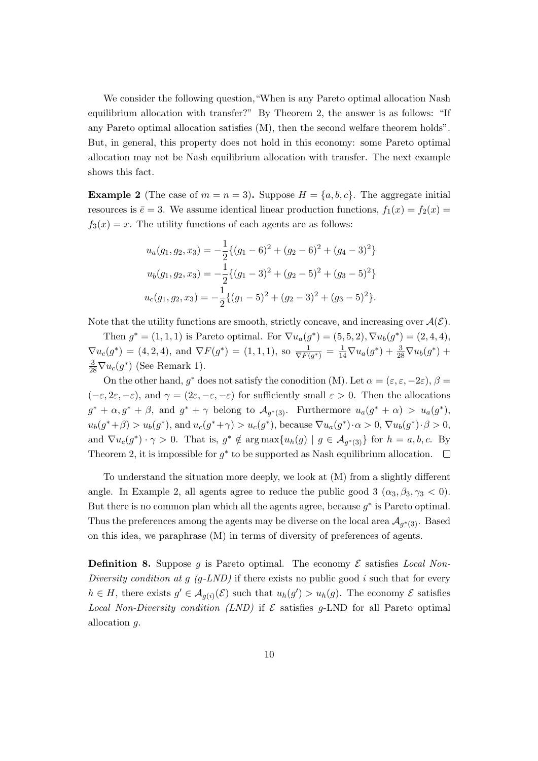We consider the following question, "When is any Pareto optimal allocation Nash" equilibrium allocation with transfer?" By Theorem 2, the answer is as follows: "If any Pareto optimal allocation satisfies (M), then the second welfare theorem holds". But, in general, this property does not hold in this economy: some Pareto optimal allocation may not be Nash equilibrium allocation with transfer. The next example shows this fact.

**Example 2** (The case of  $m = n = 3$ ). Suppose  $H = \{a, b, c\}$ . The aggregate initial resources is  $\bar{e} = 3$ . We assume identical linear production functions,  $f_1(x) = f_2(x)$  $f_3(x) = x$ . The utility functions of each agents are as follows:

$$
u_a(g_1, g_2, x_3) = -\frac{1}{2} \{ (g_1 - 6)^2 + (g_2 - 6)^2 + (g_4 - 3)^2 \}
$$
  
\n
$$
u_b(g_1, g_2, x_3) = -\frac{1}{2} \{ (g_1 - 3)^2 + (g_2 - 5)^2 + (g_3 - 5)^2 \}
$$
  
\n
$$
u_c(g_1, g_2, x_3) = -\frac{1}{2} \{ (g_1 - 5)^2 + (g_2 - 3)^2 + (g_3 - 5)^2 \}.
$$

Note that the utility functions are smooth, strictly concave, and increasing over  $A(\mathcal{E})$ .

Then  $g^* = (1, 1, 1)$  is Pareto optimal. For  $\nabla u_a(g^*) = (5, 5, 2), \nabla u_b(g^*) = (2, 4, 4),$  $\nabla u_c(g^*) = (4, 2, 4)$ , and  $\nabla F(g^*) = (1, 1, 1)$ , so  $\frac{1}{\nabla F(g^*)} = \frac{1}{14} \nabla u_a(g^*) + \frac{3}{28} \nabla u_b(g^*) +$  $\frac{3}{28}\nabla u_c(g^*)$  (See Remark 1).

On the other hand,  $g^*$  does not satisfy the conodition (M). Let  $\alpha = (\varepsilon, \varepsilon, -2\varepsilon), \beta =$  $(-\varepsilon, 2\varepsilon, -\varepsilon)$ , and  $\gamma = (2\varepsilon, -\varepsilon, -\varepsilon)$  for sufficiently small  $\varepsilon > 0$ . Then the allocations  $g^* + \alpha, g^* + \beta$ , and  $g^* + \gamma$  belong to  $\mathcal{A}_{g^*(3)}$ . Furthermore  $u_a(g^* + \alpha) > u_a(g^*)$ ,  $u_b(g^* + \beta) > u_b(g^*)$ , and  $u_c(g^* + \gamma) > u_c(g^*)$ , because  $\nabla u_a(g^*) \cdot \alpha > 0$ ,  $\nabla u_b(g^*) \cdot \beta > 0$ , and  $\nabla u_c(g^*) \cdot \gamma > 0$ . That is,  $g^* \notin \arg \max \{ u_h(g) \mid g \in \mathcal{A}_{g^*(3)} \}$  for  $h = a, b, c$ . By Theorem 2, it is impossible for  $g^*$  to be supported as Nash equilibrium allocation.

To understand the situation more deeply, we look at (M) from a slightly different angle. In Example 2, all agents agree to reduce the public good 3  $(\alpha_3, \beta_3, \gamma_3 < 0)$ . But there is no common plan which all the agents agree, because *g ∗* is Pareto optimal. Thus the preferences among the agents may be diverse on the local area  $\mathcal{A}_{g^*(3)}$ . Based on this idea, we paraphrase (M) in terms of diversity of preferences of agents.

**Definition 8.** Suppose  $g$  is Pareto optimal. The economy  $\mathcal{E}$  satisfies *Local Non*-*Diversity condition at g (g-LND)* if there exists no public good *i* such that for every  $h \in H$ , there exists  $g' \in A_{g(i)}(\mathcal{E})$  such that  $u_h(g') > u_h(g)$ . The economy  $\mathcal E$  satisfies *Local Non-Diversity condition (LND)* if  $\mathcal E$  satisfies *g*-LND for all Pareto optimal allocation *g*.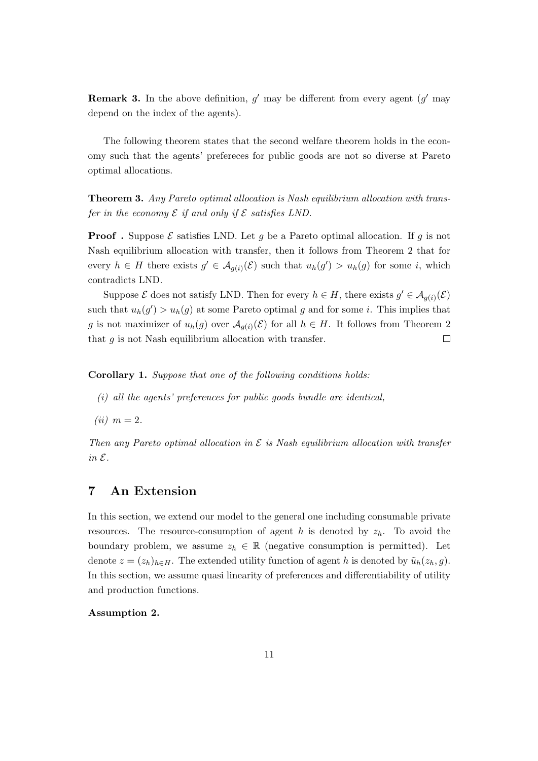**Remark 3.** In the above definition,  $g'$  may be different from every agent  $(g'$  may depend on the index of the agents).

The following theorem states that the second welfare theorem holds in the economy such that the agents' prefereces for public goods are not so diverse at Pareto optimal allocations.

**Theorem 3.** *Any Pareto optimal allocation is Nash equilibrium allocation with transfer in the economy*  $\mathcal E$  *if and only if*  $\mathcal E$  *satisfies LND.* 

**Proof**. Suppose  $\mathcal{E}$  satisfies LND. Let *g* be a Pareto optimal allocation. If *g* is not Nash equilibrium allocation with transfer, then it follows from Theorem 2 that for every  $h \in H$  there exists  $g' \in \mathcal{A}_{g(i)}(\mathcal{E})$  such that  $u_h(g') > u_h(g)$  for some *i*, which contradicts LND.

Suppose  $\mathcal{E}$  does not satisfy LND. Then for every  $h \in H$ , there exists  $g' \in \mathcal{A}_{g(i)}(\mathcal{E})$ such that  $u_h(g') > u_h(g)$  at some Pareto optimal *g* and for some *i*. This implies that *g* is not maximizer of  $u_h(g)$  over  $\mathcal{A}_{g(i)}(\mathcal{E})$  for all  $h \in H$ . It follows from Theorem 2 that *g* is not Nash equilibrium allocation with transfer.  $\Box$ 

**Corollary 1.** *Suppose that one of the following conditions holds:*

- *(i) all the agents' preferences for public goods bundle are identical,*
- $(ii)$  *m* = 2*.*

*Then any Pareto optimal allocation in E is Nash equilibrium allocation with transfer in E.*

# **7 An Extension**

In this section, we extend our model to the general one including consumable private resources. The resource-consumption of agent *h* is denoted by  $z_h$ . To avoid the boundary problem, we assume  $z_h \in \mathbb{R}$  (negative consumption is permitted). Let denote  $z = (z_h)_{h \in H}$ . The extended utility function of agent *h* is denoted by  $\tilde{u}_h(z_h, g)$ . In this section, we assume quasi linearity of preferences and differentiability of utility and production functions.

#### **Assumption 2.**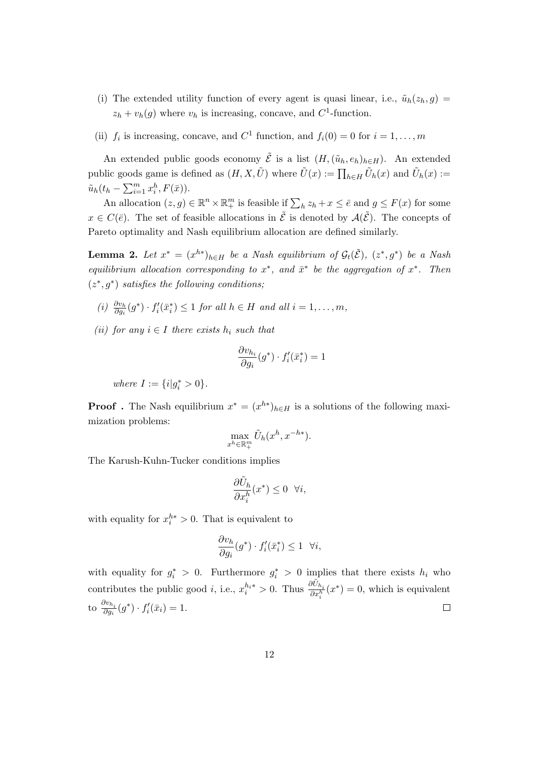- (i) The extended utility function of every agent is quasi linear, i.e.,  $\tilde{u}_h(z_h, g)$  $z_h + v_h(g)$  where  $v_h$  is increasing, concave, and  $C^1$ -function.
- (ii)  $f_i$  is increasing, concave, and  $C^1$  function, and  $f_i(0) = 0$  for  $i = 1, \ldots, m$

An extended public goods economy  $\tilde{\mathcal{E}}$  is a list  $(H,(\tilde{u}_h, e_h)_{h\in H})$ . An extended public goods game is defined as  $(H, X, \tilde{U})$  where  $\tilde{U}(x) := \prod_{h \in H} \tilde{U}_h(x)$  and  $\tilde{U}_h(x) :=$  $\tilde{u}_h(t_h - \sum_{i=1}^m x_i^h, F(\bar{x})).$ 

An allocation  $(z, g) \in \mathbb{R}^n \times \mathbb{R}^m_+$  is feasible if  $\sum_h z_h + x \leq \bar{e}$  and  $g \leq F(x)$  for some  $x \in C(\bar{e})$ . The set of feasible allocations in  $\tilde{\mathcal{E}}$  is denoted by  $\mathcal{A}(\tilde{\mathcal{E}})$ . The concepts of Pareto optimality and Nash equilibrium allocation are defined similarly.

**Lemma 2.** Let  $x^* = (x^{h*})_{h \in H}$  be a Nash equilibrium of  $\mathcal{G}_t(\tilde{\mathcal{E}})$ ,  $(z^*, g^*)$  be a Nash *equilibrium allocation corresponding to*  $x^*$ , and  $\bar{x}^*$  be the aggregation of  $x^*$ . Then (*z ∗ , g<sup>∗</sup>* ) *satisfies the following conditions;*

- (i)  $\frac{\partial v_h}{\partial g_i}(g^*) \cdot f'_i(\bar{x}_i^*) \leq 1$  for all  $h \in H$  and all  $i = 1, ..., m$ ,
- $(iii)$  *for any*  $i \in I$  *there exists*  $h_i$  *such that*

$$
\frac{\partial v_{h_i}}{\partial g_i}(g^*) \cdot f'_i(\bar{x}_i^*) = 1
$$

*where*  $I := \{i | g_i^* > 0\}$ *.* 

**Proof**. The Nash equilibrium  $x^* = (x^{h*})_{h \in H}$  is a solutions of the following maximization problems:

$$
\max_{x^h \in \mathbb{R}_+^m} \tilde{U}_h(x^h, x^{-h*}).
$$

The Karush-Kuhn-Tucker conditions implies

$$
\frac{\partial \tilde{U}_h}{\partial x_i^h}(x^*) \le 0 \quad \forall i,
$$

with equality for  $x_i^{h*} > 0$ . That is equivalent to

$$
\frac{\partial v_h}{\partial g_i}(g^*) \cdot f'_i(\bar{x}_i^*) \le 1 \quad \forall i,
$$

with equality for  $g_i^* > 0$ . Furthermore  $g_i^* > 0$  implies that there exists  $h_i$  who contributes the public good *i*, i.e.,  $x_i^{h_i*} > 0$ . Thus  $\frac{\partial \tilde{U}_{h_i}}{\partial x_i^h}(x^*) = 0$ , which is equivalent to  $\frac{\partial v_{h_i}}{\partial g_i}(g^*) \cdot f'_i(\bar{x}_i) = 1.$  $\Box$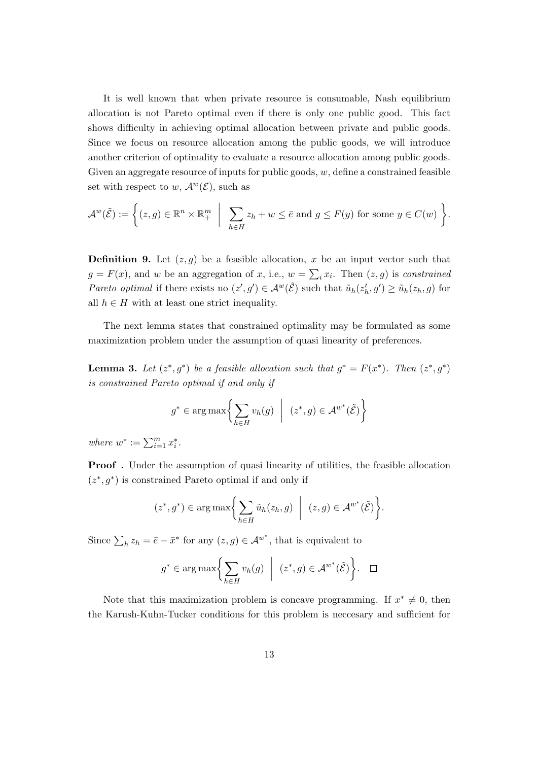It is well known that when private resource is consumable, Nash equilibrium allocation is not Pareto optimal even if there is only one public good. This fact shows difficulty in achieving optimal allocation between private and public goods. Since we focus on resource allocation among the public goods, we will introduce another criterion of optimality to evaluate a resource allocation among public goods. Given an aggregate resource of inputs for public goods, *w*, define a constrained feasible set with respect to *w*,  $\mathcal{A}^w(\mathcal{E})$ , such as

$$
\mathcal{A}^w(\tilde{\mathcal{E}}) := \left\{ (z,g) \in \mathbb{R}^n \times \mathbb{R}^m_+ \middle| \sum_{h \in H} z_h + w \le \bar{e} \text{ and } g \le F(y) \text{ for some } y \in C(w) \right\}.
$$

**Definition 9.** Let  $(z, g)$  be a feasible allocation, x be an input vector such that  $g = F(x)$ , and *w* be an aggregation of *x*, i.e.,  $w = \sum_i x_i$ . Then  $(z, g)$  is *constrained* Pareto optimal if there exists no  $(z', g') \in \mathcal{A}^w(\tilde{\mathcal{E}})$  such that  $\tilde{u}_h(z'_h, g') \geq \tilde{u}_h(z_h, g)$  for all  $h \in H$  with at least one strict inequality.

The next lemma states that constrained optimality may be formulated as some maximization problem under the assumption of quasi linearity of preferences.

**Lemma 3.** Let  $(z^*, g^*)$  be a feasible allocation such that  $g^* = F(x^*)$ . Then  $(z^*, g^*)$ *is constrained Pareto optimal if and only if*

$$
g^* \in \arg \max \left\{ \sum_{h \in H} v_h(g) \mid (z^*, g) \in \mathcal{A}^{w^*}(\tilde{\mathcal{E}}) \right\}
$$

*where*  $w^* := \sum_{i=1}^m x_i^*$ .

**Proof**. Under the assumption of quasi linearity of utilities, the feasible allocation  $(z^*, g^*)$  is constrained Pareto optimal if and only if

$$
(z^*, g^*) \in \arg \max \biggl\{ \sum_{h \in H} \tilde{u}_h(z_h, g) \ \bigg| \ (z, g) \in \mathcal{A}^{w^*}(\tilde{\mathcal{E}}) \biggr\}.
$$

Since  $\sum_h z_h = \bar{e} - \bar{x}^*$  for any  $(z, g) \in A^{w^*}$ , that is equivalent to

$$
g^* \in \arg \max \left\{ \sum_{h \in H} v_h(g) \mid (z^*, g) \in \mathcal{A}^{w^*}(\tilde{\mathcal{E}}) \right\}.
$$
  $\Box$ 

Note that this maximization problem is concave programming. If  $x^* \neq 0$ , then the Karush-Kuhn-Tucker conditions for this problem is neccesary and sufficient for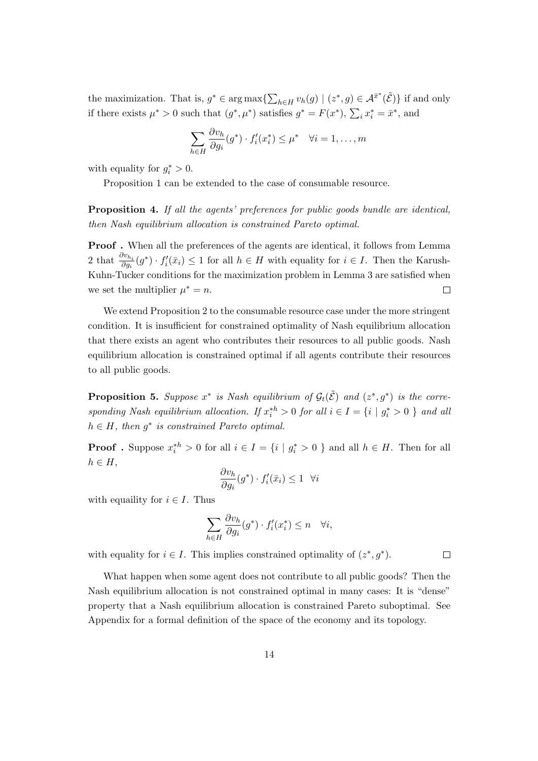the maximization. That is,  $g^* \in \arg \max \{ \sum_{h \in H} v_h(g) \mid (z^*, g) \in \mathcal{A}^{\bar{x}^*}(\tilde{\mathcal{E}}) \}$  if and only if there exists  $\mu^* > 0$  such that  $(g^*, \mu^*)$  satisfies  $g^* = F(x^*), \sum_i x_i^* = \bar{x}^*$ , and

$$
\sum_{h \in H} \frac{\partial v_h}{\partial g_i}(g^*) \cdot f'_i(x_i^*) \le \mu^* \quad \forall i = 1, \dots, m
$$

with equality for  $g_i^* > 0$ .

Proposition 1 can be extended to the case of consumable resource.

**Proposition 4.** *If all the agents' preferences for public goods bundle are identical, then Nash equilibrium allocation is constrained Pareto optimal.*

**Proof .** When all the preferences of the agents are identical, it follows from Lemma 2 that  $\frac{\partial v_{h_i}}{\partial g_i}(g^*) \cdot f'_i(\bar{x}_i) \leq 1$  for all  $h \in H$  with equality for  $i \in I$ . Then the Karush-Kuhn-Tucker conditions for the maximization problem in Lemma 3 are satisfied when we set the multiplier  $\mu^* = n$ .  $\Box$ 

We extend Proposition 2 to the consumable resource case under the more stringent condition. It is insufficient for constrained optimality of Nash equilibrium allocation that there exists an agent who contributes their resources to all public goods. Nash equilibrium allocation is constrained optimal if all agents contribute their resources to all public goods.

**Proposition 5.** Suppose  $x^*$  is Nash equilibrium of  $\mathcal{G}_t(\tilde{\mathcal{E}})$  and  $(z^*, g^*)$  is the corresponding Nash equilibrium allocation. If  $x_i^{*h} > 0$  for all  $i \in I = \{i \mid g_i^* > 0 \}$  and all  $h \in H$ *, then*  $g^*$  *is constrained Pareto optimal.* 

**Proof**. Suppose  $x_i^{*h} > 0$  for all  $i \in I = \{i \mid g_i^* > 0\}$  and all  $h \in H$ . Then for all *h ∈ H*,

$$
\frac{\partial v_h}{\partial g_i}(g^*) \cdot f'_i(\bar{x}_i) \le 1 \quad \forall i
$$

with equallity for  $i \in I$ . Thus

$$
\sum_{h \in H} \frac{\partial v_h}{\partial g_i}(g^*) \cdot f'_i(x_i^*) \le n \quad \forall i,
$$

with equality for  $i \in I$ . This implies constrained optimality of  $(z^*, g^*)$ .

 $\Box$ 

What happen when some agent does not contribute to all public goods? Then the Nash equilibrium allocation is not constrained optimal in many cases: It is "dense" property that a Nash equilibrium allocation is constrained Pareto suboptimal. See Appendix for a formal definition of the space of the economy and its topology.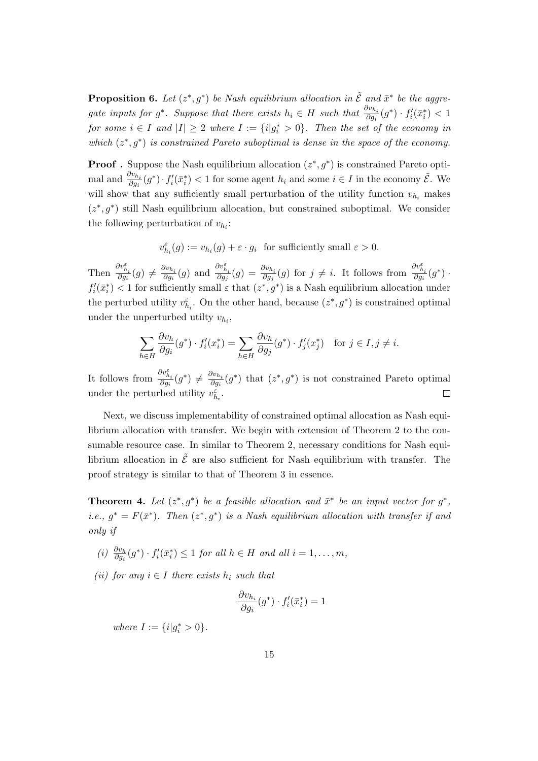**Proposition 6.** Let  $(z^*, g^*)$  be Nash equilibrium allocation in  $\tilde{\mathcal{E}}$  and  $\bar{x}^*$  be the aggregate inputs for  $g^*$ . Suppose that there exists  $h_i \in H$  such that  $\frac{\partial v_{h_i}}{\partial g_i}(g^*) \cdot f'_i(\bar{x}_i^*) < 1$ *for some*  $i \in I$  *and*  $|I| \geq 2$  *where*  $I := \{i | g_i^* > 0\}$ *. Then the set of the economy in which*  $(z^*, g^*)$  *is constrained Pareto suboptimal is dense in the space of the economy.* 

**Proof** . Suppose the Nash equilibrium allocation  $(z^*, g^*)$  is constrained Pareto optimal and  $\frac{\partial v_{h_i}}{\partial g_i}(g^*) \cdot f'_i(\bar{x}_i^*) < 1$  for some agent  $h_i$  and some  $i \in I$  in the economy  $\tilde{\mathcal{E}}$ . We will show that any sufficiently small perturbation of the utility function  $v_{h_i}$  makes  $(z^*,g^*)$  still Nash equilibrium allocation, but constrained suboptimal. We consider the following perturbation of  $v_{h_i}$ :

$$
v_{h_i}^{\varepsilon}(g) := v_{h_i}(g) + \varepsilon \cdot g_i \text{ for sufficiently small } \varepsilon > 0.
$$

Then  $\frac{\partial v_{h_i}^{\varepsilon}}{\partial g_i}(g) \neq \frac{\partial v_{h_i}}{\partial g_i}$  $\frac{\partial v_{h_i}}{\partial g_i}(g)$  and  $\frac{\partial v_{h_i}^{\varepsilon}}{\partial g_j}(g) = \frac{\partial v_{h_i}}{\partial g_j}(g)$  for  $j \neq i$ . It follows from  $\frac{\partial v_{h_i}^{\varepsilon}}{\partial g_i}(g^*)$ .  $f_i'(\bar{x}_i^*)$  < 1 for sufficiently small  $\varepsilon$  that  $(z^*, g^*)$  is a Nash equilibrium allocation under the perturbed utility  $v_{h_i}^{\varepsilon}$ . On the other hand, because  $(z^*, g^*)$  is constrained optimal under the unperturbed utilty  $v_{h_i}$ ,

$$
\sum_{h \in H} \frac{\partial v_h}{\partial g_i}(g^*) \cdot f'_i(x_i^*) = \sum_{h \in H} \frac{\partial v_h}{\partial g_j}(g^*) \cdot f'_j(x_j^*) \quad \text{for } j \in I, j \neq i.
$$

It follows from  $\frac{\partial v_{h_i}^{\varepsilon}}{\partial g_i}(g^*) \neq \frac{\partial v_{h_i}}{\partial g_i}$  $\frac{\partial v_{h_i}}{\partial g_i}(g^*)$  that  $(z^*, g^*)$  is not constrained Pareto optimal under the perturbed utility  $v_{h_i}^{\varepsilon}$ .  $\Box$ 

Next, we discuss implementability of constrained optimal allocation as Nash equilibrium allocation with transfer. We begin with extension of Theorem 2 to the consumable resource case. In similar to Theorem 2, necessary conditions for Nash equilibrium allocation in  $\tilde{\mathcal{E}}$  are also sufficient for Nash equilibrium with transfer. The proof strategy is similar to that of Theorem 3 in essence.

**Theorem 4.** Let  $(z^*, g^*)$  be a feasible allocation and  $\bar{x}^*$  be an input vector for  $g^*$ , *i.e.*,  $g^* = F(\bar{x}^*)$ . Then  $(z^*, g^*)$  is a Nash equilibrium allocation with transfer if and *only if*

- (i)  $\frac{\partial v_h}{\partial g_i}(g^*) \cdot f'_i(\bar{x}_i^*) \leq 1$  for all  $h \in H$  and all  $i = 1, ..., m$ ,
- $(iii)$  *for any*  $i ∈ I$  *there exists*  $h_i$  *such that*

$$
\frac{\partial v_{h_i}}{\partial g_i}(g^*) \cdot f'_i(\bar{x}_i^*) = 1
$$

*where*  $I := \{i | g_i^* > 0\}$ *.*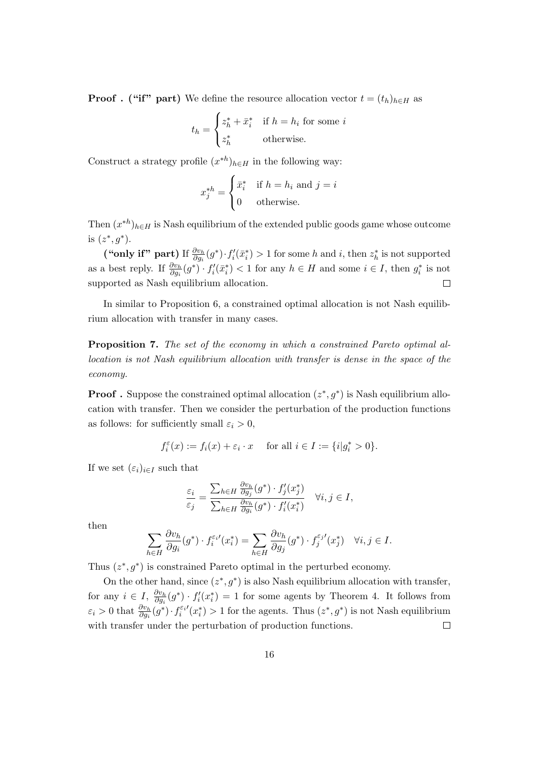**Proof** . ("if" part) We define the resource allocation vector  $t = (t_h)_{h \in H}$  as

$$
t_h = \begin{cases} z_h^* + \bar{x}_i^* & \text{if } h = h_i \text{ for some } i\\ z_h^* & \text{otherwise.} \end{cases}
$$

Construct a strategy profile  $(x^{*h})_{h \in H}$  in the following way:

$$
x_j^{*h} = \begin{cases} \bar{x}_i^* & \text{if } h = h_i \text{ and } j = i \\ 0 & \text{otherwise.} \end{cases}
$$

Then  $(x^{*h})_{h \in H}$  is Nash equilibrium of the extended public goods game whose outcome is  $(z^*, g^*)$ .

("only if" part) If  $\frac{\partial v_h}{\partial g_i}(g^*) \cdot f'_i(\bar{x}_i^*) > 1$  for some h and i, then  $z_h^*$  is not supported as a best reply. If  $\frac{\partial v_h}{\partial g_i}(g^*) \cdot f'_i(\bar{x}_i^*) < 1$  for any  $h \in H$  and some  $i \in I$ , then  $g_i^*$  is not supported as Nash equilibrium allocation.  $\Box$ 

In similar to Proposition 6, a constrained optimal allocation is not Nash equilibrium allocation with transfer in many cases.

**Proposition 7.** *The set of the economy in which a constrained Pareto optimal allocation is not Nash equilibrium allocation with transfer is dense in the space of the economy.*

**Proof** . Suppose the constrained optimal allocation  $(z^*, g^*)$  is Nash equilibrium allocation with transfer. Then we consider the perturbation of the production functions as follows: for sufficiently small  $\varepsilon_i > 0$ ,

$$
f_i^{\varepsilon}(x) := f_i(x) + \varepsilon_i \cdot x \quad \text{ for all } i \in I := \{i | g_i^* > 0\}.
$$

If we set  $(\varepsilon_i)_{i \in I}$  such that

$$
\frac{\varepsilon_i}{\varepsilon_j} = \frac{\sum_{h \in H} \frac{\partial v_h}{\partial g_j}(g^*) \cdot f'_j(x^*_j)}{\sum_{h \in H} \frac{\partial v_h}{\partial g_i}(g^*) \cdot f'_i(x^*_i)} \quad \forall i, j \in I,
$$

then

$$
\sum_{h \in H} \frac{\partial v_h}{\partial g_i}(g^*) \cdot f_i^{\varepsilon_i \prime}(x_i^*) = \sum_{h \in H} \frac{\partial v_h}{\partial g_j}(g^*) \cdot f_j^{\varepsilon_j \prime}(x_j^*) \quad \forall i, j \in I.
$$

Thus  $(z^*, g^*)$  is constrained Pareto optimal in the perturbed economy.

On the other hand, since  $(z^*, g^*)$  is also Nash equilibrium allocation with transfer, for any  $i \in I$ ,  $\frac{\partial v_h}{\partial q_i}$  $\frac{\partial v_h}{\partial g_i}(g^*) \cdot f'_i(x_i^*) = 1$  for some agents by Theorem 4. It follows from  $\varepsilon_i > 0$  that  $\frac{\partial v_h}{\partial g_i}(g^*) \cdot f_i^{\varepsilon_i'}(x_i^*) > 1$  for the agents. Thus  $(z^*, g^*)$  is not Nash equilibrium with transfer under the perturbation of production functions.  $\Box$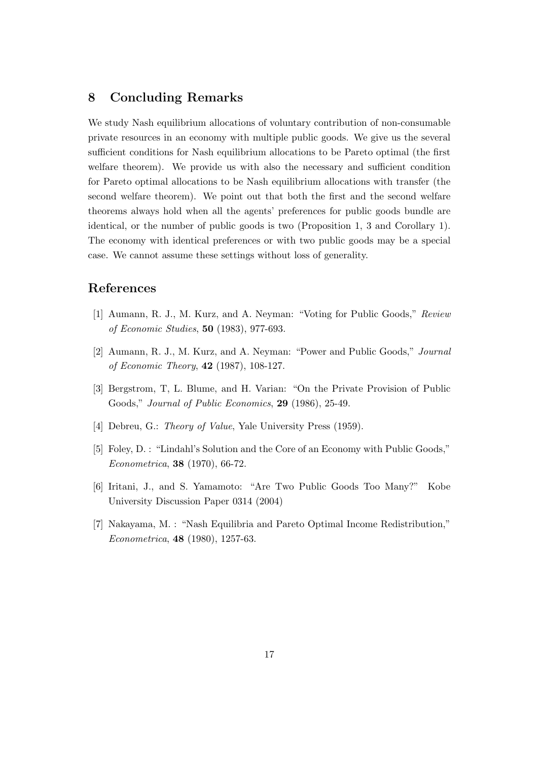### **8 Concluding Remarks**

We study Nash equilibrium allocations of voluntary contribution of non-consumable private resources in an economy with multiple public goods. We give us the several sufficient conditions for Nash equilibrium allocations to be Pareto optimal (the first welfare theorem). We provide us with also the necessary and sufficient condition for Pareto optimal allocations to be Nash equilibrium allocations with transfer (the second welfare theorem). We point out that both the first and the second welfare theorems always hold when all the agents' preferences for public goods bundle are identical, or the number of public goods is two (Proposition 1, 3 and Corollary 1). The economy with identical preferences or with two public goods may be a special case. We cannot assume these settings without loss of generality.

### **References**

- [1] Aumann, R. J., M. Kurz, and A. Neyman: "Voting for Public Goods," *Review of Economic Studies*, **50** (1983), 977-693.
- [2] Aumann, R. J., M. Kurz, and A. Neyman: "Power and Public Goods," *Journal of Economic Theory*, **42** (1987), 108-127.
- [3] Bergstrom, T, L. Blume, and H. Varian: "On the Private Provision of Public Goods," *Journal of Public Economics*, **29** (1986), 25-49.
- [4] Debreu, G.: *Theory of Value*, Yale University Press (1959).
- [5] Foley, D. : "Lindahl's Solution and the Core of an Economy with Public Goods," *Econometrica*, **38** (1970), 66-72.
- [6] Iritani, J., and S. Yamamoto: "Are Two Public Goods Too Many?" Kobe University Discussion Paper 0314 (2004)
- [7] Nakayama, M. : "Nash Equilibria and Pareto Optimal Income Redistribution," *Econometrica*, **48** (1980), 1257-63.